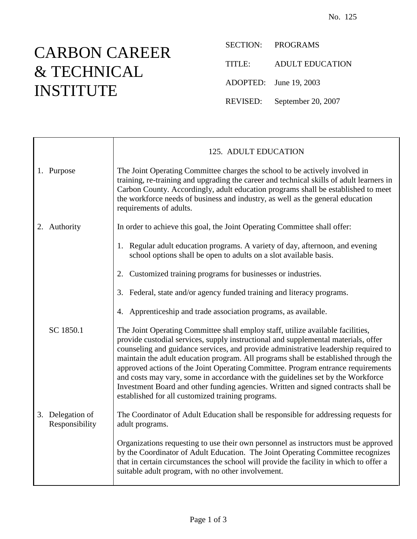## CARBON CAREER & TECHNICAL INSTITUTE

SECTION: PROGRAMS TITLE: ADULT EDUCATION ADOPTED: June 19, 2003 REVISED: September 20, 2007

|                                    | 125. ADULT EDUCATION                                                                                                                                                                                                                                                                                                                                                                                                                                                                                                                                                                                                                                                  |
|------------------------------------|-----------------------------------------------------------------------------------------------------------------------------------------------------------------------------------------------------------------------------------------------------------------------------------------------------------------------------------------------------------------------------------------------------------------------------------------------------------------------------------------------------------------------------------------------------------------------------------------------------------------------------------------------------------------------|
| 1. Purpose                         | The Joint Operating Committee charges the school to be actively involved in<br>training, re-training and upgrading the career and technical skills of adult learners in<br>Carbon County. Accordingly, adult education programs shall be established to meet<br>the workforce needs of business and industry, as well as the general education<br>requirements of adults.                                                                                                                                                                                                                                                                                             |
| 2. Authority                       | In order to achieve this goal, the Joint Operating Committee shall offer:                                                                                                                                                                                                                                                                                                                                                                                                                                                                                                                                                                                             |
|                                    | 1. Regular adult education programs. A variety of day, afternoon, and evening<br>school options shall be open to adults on a slot available basis.                                                                                                                                                                                                                                                                                                                                                                                                                                                                                                                    |
|                                    | Customized training programs for businesses or industries.<br>2.                                                                                                                                                                                                                                                                                                                                                                                                                                                                                                                                                                                                      |
|                                    | 3. Federal, state and/or agency funded training and literacy programs.                                                                                                                                                                                                                                                                                                                                                                                                                                                                                                                                                                                                |
|                                    | Apprenticeship and trade association programs, as available.<br>4.                                                                                                                                                                                                                                                                                                                                                                                                                                                                                                                                                                                                    |
| SC 1850.1                          | The Joint Operating Committee shall employ staff, utilize available facilities,<br>provide custodial services, supply instructional and supplemental materials, offer<br>counseling and guidance services, and provide administrative leadership required to<br>maintain the adult education program. All programs shall be established through the<br>approved actions of the Joint Operating Committee. Program entrance requirements<br>and costs may vary, some in accordance with the guidelines set by the Workforce<br>Investment Board and other funding agencies. Written and signed contracts shall be<br>established for all customized training programs. |
| 3. Delegation of<br>Responsibility | The Coordinator of Adult Education shall be responsible for addressing requests for<br>adult programs.                                                                                                                                                                                                                                                                                                                                                                                                                                                                                                                                                                |
|                                    | Organizations requesting to use their own personnel as instructors must be approved<br>by the Coordinator of Adult Education. The Joint Operating Committee recognizes<br>that in certain circumstances the school will provide the facility in which to offer a<br>suitable adult program, with no other involvement.                                                                                                                                                                                                                                                                                                                                                |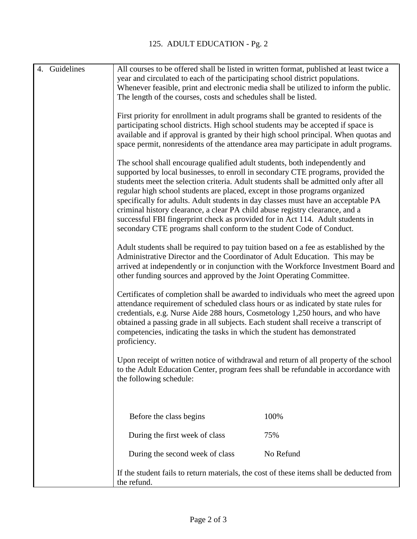| 4. Guidelines | All courses to be offered shall be listed in written format, published at least twice a<br>year and circulated to each of the participating school district populations.<br>Whenever feasible, print and electronic media shall be utilized to inform the public.<br>The length of the courses, costs and schedules shall be listed.                                                                                                                                                                                                                                                                                                                                   |
|---------------|------------------------------------------------------------------------------------------------------------------------------------------------------------------------------------------------------------------------------------------------------------------------------------------------------------------------------------------------------------------------------------------------------------------------------------------------------------------------------------------------------------------------------------------------------------------------------------------------------------------------------------------------------------------------|
|               | First priority for enrollment in adult programs shall be granted to residents of the<br>participating school districts. High school students may be accepted if space is<br>available and if approval is granted by their high school principal. When quotas and<br>space permit, nonresidents of the attendance area may participate in adult programs.                                                                                                                                                                                                                                                                                                               |
|               | The school shall encourage qualified adult students, both independently and<br>supported by local businesses, to enroll in secondary CTE programs, provided the<br>students meet the selection criteria. Adult students shall be admitted only after all<br>regular high school students are placed, except in those programs organized<br>specifically for adults. Adult students in day classes must have an acceptable PA<br>criminal history clearance, a clear PA child abuse registry clearance, and a<br>successful FBI fingerprint check as provided for in Act 114. Adult students in<br>secondary CTE programs shall conform to the student Code of Conduct. |
|               | Adult students shall be required to pay tuition based on a fee as established by the<br>Administrative Director and the Coordinator of Adult Education. This may be<br>arrived at independently or in conjunction with the Workforce Investment Board and<br>other funding sources and approved by the Joint Operating Committee.                                                                                                                                                                                                                                                                                                                                      |
|               | Certificates of completion shall be awarded to individuals who meet the agreed upon<br>attendance requirement of scheduled class hours or as indicated by state rules for<br>credentials, e.g. Nurse Aide 288 hours, Cosmetology 1,250 hours, and who have<br>obtained a passing grade in all subjects. Each student shall receive a transcript of<br>competencies, indicating the tasks in which the student has demonstrated<br>proficiency.                                                                                                                                                                                                                         |
|               | Upon receipt of written notice of withdrawal and return of all property of the school<br>to the Adult Education Center, program fees shall be refundable in accordance with<br>the following schedule:                                                                                                                                                                                                                                                                                                                                                                                                                                                                 |
|               | Before the class begins<br>100%                                                                                                                                                                                                                                                                                                                                                                                                                                                                                                                                                                                                                                        |
|               | During the first week of class<br>75%                                                                                                                                                                                                                                                                                                                                                                                                                                                                                                                                                                                                                                  |
|               | No Refund<br>During the second week of class                                                                                                                                                                                                                                                                                                                                                                                                                                                                                                                                                                                                                           |
|               | If the student fails to return materials, the cost of these items shall be deducted from<br>the refund.                                                                                                                                                                                                                                                                                                                                                                                                                                                                                                                                                                |